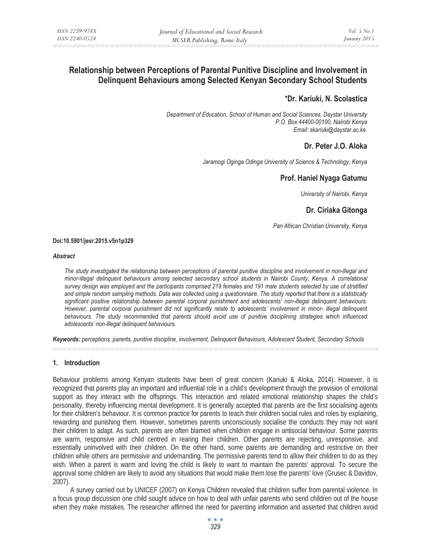# **Relationship between Perceptions of Parental Punitive Discipline and Involvement in Delinquent Behaviours among Selected Kenyan Secondary School Students**

## **\*Dr. Kariuki, N. Scolastica**

*Department of Education, School of Human and Social Sciences, Daystar University P.O. Box 44400-00100, Nairobi Kenya Email: skariuki@daystar.ac.ke.* 

## **Dr. Peter J.O. Aloka**

*Jaramogi Oginga Odinga University of Science & Technology, Kenya* 

## **Prof. Haniel Nyaga Gatumu**

*University of Nairobi, Kenya* 

## **Dr. Ciriaka Gitonga**

*Pan African Christian University, Kenya* 

#### **Doi:10.5901/jesr.2015.v5n1p329**

#### *Abstract*

*The study investigated the relationship between perceptions of parental punitive discipline and involvement in non-illegal and minor-illegal delinquent behaviours among selected secondary school students in Nairobi County, Kenya. A correlational survey design was employed and the participants comprised 219 females and 191 male students selected by use of stratified and simple random sampling methods. Data was collected using a questionnaire. The study reported that there is a statistically significant positive relationship between parental corporal punishment and adolescents' non-illegal delinquent behaviours. However, parental corporal punishment did not significantly relate to adolescents' involvement in minor- illegal delinquent*  behaviours. The study recommended that parents should avoid use of punitive disciplining strategies which influenced *adolescents' non-illegal delinquent behaviours.* 

*Keywords: perceptions, parents, punitive discipline, involvement, Delinquent Behaviours, Adolescent Student, Secondary Schools* 

## **1. Introduction**

Behaviour problems among Kenyan students have been of great concern (Kariuki & Aloka, 2014). However, it is recognized that parents play an important and influential role in a child's development through the provision of emotional support as they interact with the offsprings. This interaction and related emotional relationship shapes the child's personality, thereby influencing mental development. It is generally accepted that parents are the first socialising agents for their children's behaviour. It is common practice for parents to teach their children social rules and roles by explaining, rewarding and punishing them. However, sometimes parents unconsciously socialise the conducts they may not want their children to adapt. As such, parents are often blamed when children engage in antisocial behaviour. Some parents are warm, responsive and child centred in rearing their children. Other parents are rejecting, unresponsive, and essentially uninvolved with their children. On the other hand, some parents are demanding and restrictive on their children while others are permissive and undemanding. The permissive parents tend to allow their children to do as they wish. When a parent is warm and loving the child is likely to want to maintain the parents' approval. To secure the approval some children are likely to avoid any situations that would make them lose the parents' love (Grusec & Davidov, 2007).

A survey carried out by UNICEF (2007) on Kenya Children revealed that children suffer from parental violence. In a focus group discussion one child sought advice on how to deal with unfair parents who send children out of the house when they make mistakes. The researcher affirmed the need for parenting information and asserted that children avoid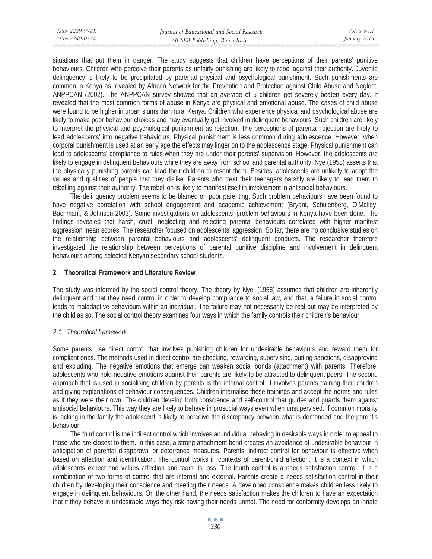situations that put them in danger. The study suggests that children have perceptions of their parents' punitive behaviours. Children who perceive their parents as unfairly punishing are likely to rebel against their authority. Juvenile delinquency is likely to be precipitated by parental physical and psychological punishment. Such punishments are common in Kenya as revealed by African Network for the Prevention and Protection against Child Abuse and Neglect, ANPPCAN (2002). The ANPPCAN survey showed that an average of 5 children get severely beaten every day. It revealed that the most common forms of abuse in Kenya are physical and emotional abuse. The cases of child abuse were found to be higher in urban slums than rural Kenya. Children who experience physical and psychological abuse are likely to make poor behaviour choices and may eventually get involved in delinquent behaviours. Such children are likely to interpret the physical and psychological punishment as rejection. The perceptions of parental rejection are likely to lead adolescents' into negative behaviours. Physical punishment is less common during adolescence. However, when corporal punishment is used at an early age the effects may linger on to the adolescence stage. Physical punishment can lead to adolescents' compliance to rules when they are under their parents' supervision. However, the adolescents are likely to engage in delinquent behaviours while they are away from school and parental authority. Nye (1958) asserts that the physically punishing parents can lead their children to resent them. Besides, adolescents are unlikely to adopt the values and qualities of people that they dislike. Parents who treat their teenagers harshly are likely to lead them to rebelling against their authority. The rebellion is likely to manifest itself in involvement in antisocial behaviours.

The delinquency problem seems to be blamed on poor parenting. Such problem behaviours have been found to have negative correlation with school engagement and academic achievement (Bryant, Schulenberg, O'Malley, Bachman., & Johnson 2003). Some investigations on adolescents' problem behaviours in Kenya have been done. The findings revealed that harsh, cruel, neglecting and rejecting parental behaviours correlated with higher manifest aggression mean scores. The researcher focused on adolescents' aggression. So far, there are no conclusive studies on the relationship between parental behaviours and adolescents' delinquent conducts. The researcher therefore investigated the relationship between perceptions of parental punitive discipline and involvement in delinquent behaviours among selected Kenyan secondary school students.

#### **2. Theoretical Framework and Literature Review**

The study was informed by the social control theory. The theory by Nye, (1958) assumes that children are inherently delinquent and that they need control in order to develop compliance to social law, and that, a failure in social control leads to maladaptive behaviours within an individual. The failure may not necessarily be real but may be interpreted by the child as so. The social control theory examines four ways in which the family controls their children's behaviour.

#### *2.1 Theoretical framework*

Some parents use direct control that involves punishing children for undesirable behaviours and reward them for compliant ones. The methods used in direct control are checking, rewarding, supervising, putting sanctions, disapproving and excluding. The negative emotions that emerge can weaken social bonds (attachment) with parents. Therefore, adolescents who hold negative emotions against their parents are likely to be attracted to delinquent peers. The second approach that is used in socialising children by parents is the internal control. It involves parents training their children and giving explanations of behaviour consequences. Children internalise these trainings and accept the norms and rules as if they were their own. The children develop both conscience and self-control that guides and guards them against antisocial behaviours. This way they are likely to behave in prosocial ways even when unsupervised. If common morality is lacking in the family the adolescent is likely to perceive the discrepancy between what is demanded and the parent's behaviour.

The third control is the indirect control which involves an individual behaving in desirable ways in order to appeal to those who are closest to them. In this case, a strong attachment bond creates an avoidance of undesirable behaviour in anticipation of parental disapproval or deterrence measures. Parents' indirect control for behaviour is effective when based on affection and identification. The control works in contexts of parent-child affection. It is a context in which adolescents expect and values affection and fears its loss. The fourth control is a needs satisfaction control. It is a combination of two forms of control that are internal and external. Parents create a needs satisfaction control in their children by developing their conscience and meeting their needs. A developed conscience makes children less likely to engage in delinquent behaviours. On the other hand, the needs satisfaction makes the children to have an expectation that if they behave in undesirable ways they risk having their needs unmet. The need for conformity develops an innate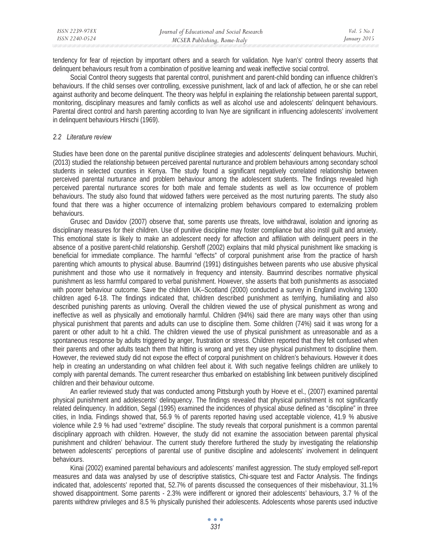tendency for fear of rejection by important others and a search for validation. Nye Ivan's' control theory asserts that delinquent behaviours result from a combination of positive learning and weak ineffective social control.

Social Control theory suggests that parental control, punishment and parent-child bonding can influence children's behaviours. If the child senses over controlling, excessive punishment, lack of and lack of affection, he or she can rebel against authority and become delinquent. The theory was helpful in explaining the relationship between parental support, monitoring, disciplinary measures and family conflicts as well as alcohol use and adolescents' delinquent behaviours. Parental direct control and harsh parenting according to Ivan Nye are significant in influencing adolescents' involvement in delinquent behaviours Hirschi (1969).

#### *2.2 Literature review*

Studies have been done on the parental punitive disciplinee strategies and adolescents' delinquent behaviours. Muchiri, (2013) studied the relationship between perceived parental nurturance and problem behaviours among secondary school students in selected counties in Kenya. The study found a significant negatively correlated relationship between perceived parental nurturance and problem behaviour among the adolescent students. The findings revealed high perceived parental nurturance scores for both male and female students as well as low occurrence of problem behaviours. The study also found that widowed fathers were perceived as the most nurturing parents. The study also found that there was a higher occurrence of internalizing problem behaviours compared to externalizing problem behaviours.

Grusec and Davidov (2007) observe that, some parents use threats, love withdrawal, isolation and ignoring as disciplinary measures for their children. Use of punitive discipline may foster compliance but also instil guilt and anxiety. This emotional state is likely to make an adolescent needy for affection and affiliation with delinquent peers in the absence of a positive parent-child relationship. Gershoff (2002) explains that mild physical punishment like smacking is beneficial for immediate compliance. The harmful "effects" of corporal punishment arise from the practice of harsh parenting which amounts to physical abuse. Baumrind (1991) distinguishes between parents who use abusive physical punishment and those who use it normatively in frequency and intensity. Baumrind describes normative physical punishment as less harmful compared to verbal punishment. However, she asserts that both punishments as associated with poorer behaviour outcome. Save the children UK–Scotland (2000) conducted a survey in England involving 1300 children aged 6-18. The findings indicated that, children described punishment as terrifying, humiliating and also described punishing parents as unloving. Overall the children viewed the use of physical punishment as wrong and ineffective as well as physically and emotionally harmful. Children (94%) said there are many ways other than using physical punishment that parents and adults can use to discipline them. Some children (74%) said it was wrong for a parent or other adult to hit a child. The children viewed the use of physical punishment as unreasonable and as a spontaneous response by adults triggered by anger, frustration or stress. Children reported that they felt confused when their parents and other adults teach them that hitting is wrong and yet they use physical punishment to discipline them. However, the reviewed study did not expose the effect of corporal punishment on children's behaviours. However it does help in creating an understanding on what children feel about it. With such negative feelings children are unlikely to comply with parental demands. The current researcher thus embarked on establishing link between punitively disciplined children and their behaviour outcome.

An earlier reviewed study that was conducted among Pittsburgh youth by Hoeve et el., (2007) examined parental physical punishment and adolescents' delinquency. The findings revealed that physical punishment is not significantly related delinquency. In addition, Segal (1995) examined the incidences of physical abuse defined as "discipline" in three cities, in India. Findings showed that, 56.9 % of parents reported having used acceptable violence, 41.9 % abusive violence while 2.9 % had used "extreme" discipline. The study reveals that corporal punishment is a common parental disciplinary approach with children. However, the study did not examine the association between parental physical punishment and children' behaviour. The current study therefore furthered the study by investigating the relationship between adolescents' perceptions of parental use of punitive discipline and adolescents' involvement in delinquent behaviours.

Kinai (2002) examined parental behaviours and adolescents' manifest aggression. The study employed self-report measures and data was analysed by use of descriptive statistics, Chi-square test and Factor Analysis. The findings indicated that, adolescents' reported that, 52.7% of parents discussed the consequences of their misbehaviour, 31.1% showed disappointment. Some parents - 2.3% were indifferent or ignored their adolescents' behaviours, 3.7 % of the parents withdrew privileges and 8.5 % physically punished their adolescents. Adolescents whose parents used inductive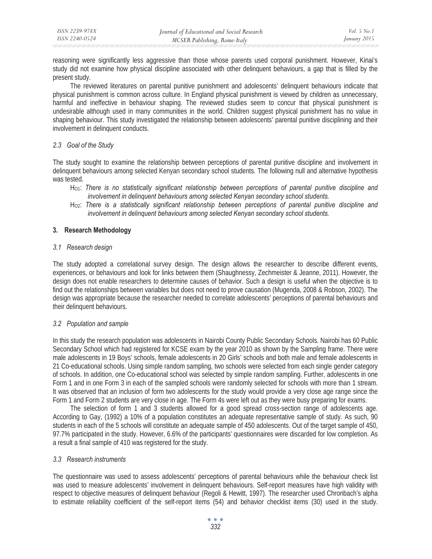reasoning were significantly less aggressive than those whose parents used corporal punishment. However, Kinai's study did not examine how physical discipline associated with other delinquent behaviours, a gap that is filled by the present study.

The reviewed literatures on parental punitive punishment and adolescents' delinquent behaviours indicate that physical punishment is common across culture. In England physical punishment is viewed by children as unnecessary, harmful and ineffective in behaviour shaping. The reviewed studies seem to concur that physical punishment is undesirable although used in many communities in the world. Children suggest physical punishment has no value in shaping behaviour. This study investigated the relationship between adolescents' parental punitive disciplining and their involvement in delinquent conducts.

#### *2.3 Goal of the Study*

The study sought to examine the relationship between perceptions of parental punitive discipline and involvement in delinquent behaviours among selected Kenyan secondary school students. The following null and alternative hypothesis was tested.

- HO1: *There is no statistically significant relationship between perceptions of parental punitive discipline and involvement in delinquent behaviours among selected Kenyan secondary school students.*
- HO2: *There is a statistically significant relationship between perceptions of parental punitive discipline and involvement in delinquent behaviours among selected Kenyan secondary school students.*

## **3. Research Methodology**

#### *3.1 Research design*

The study adopted a correlational survey design. The design allows the researcher to describe different events, experiences, or behaviours and look for links between them (Shaughnessy, Zechmeister & Jeanne, 2011). However, the design does not enable researchers to determine causes of behavior. Such a design is useful when the objective is to find out the relationships between variables but does not need to prove causation (Mugenda, 2008 & Robson, 2002). The design was appropriate because the researcher needed to correlate adolescents' perceptions of parental behaviours and their delinquent behaviours.

#### *3.2 Population and sample*

In this study the research population was adolescents in Nairobi County Public Secondary Schools. Nairobi has 60 Public Secondary School which had registered for KCSE exam by the year 2010 as shown by the Sampling frame. There were male adolescents in 19 Boys' schools, female adolescents in 20 Girls' schools and both male and female adolescents in 21 Co-educational schools. Using simple random sampling, two schools were selected from each single gender category of schools. In addition, one Co-educational school was selected by simple random sampling. Further, adolescents in one Form 1 and in one Form 3 in each of the sampled schools were randomly selected for schools with more than 1 stream. It was observed that an inclusion of form two adolescents for the study would provide a very close age range since the Form 1 and Form 2 students are very close in age. The Form 4s were left out as they were busy preparing for exams.

The selection of form 1 and 3 students allowed for a good spread cross-section range of adolescents age. According to Gay, (1992) a 10% of a population constitutes an adequate representative sample of study. As such, 90 students in each of the 5 schools will constitute an adequate sample of 450 adolescents. Out of the target sample of 450, 97.7% participated in the study. However, 6.6% of the participants' questionnaires were discarded for low completion. As a result a final sample of 410 was registered for the study.

#### *3.3 Research instruments*

The questionnaire was used to assess adolescents' perceptions of parental behaviours while the behaviour check list was used to measure adolescents' involvement in delinquent behaviours. Self-report measures have high validity with respect to objective measures of delinquent behaviour (Regoli & Hewitt, 1997). The researcher used Chronbach's alpha to estimate reliability coefficient of the self-report items (54) and behavior checklist items (30) used in the study.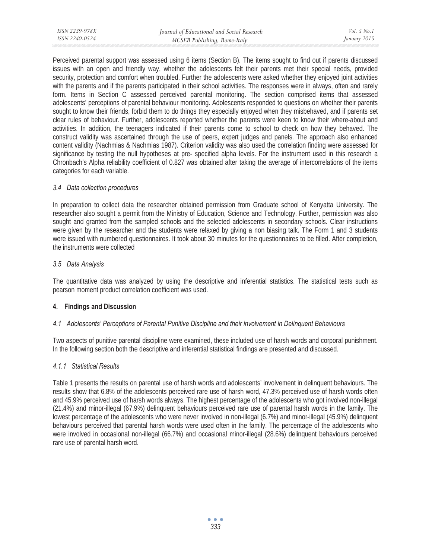Perceived parental support was assessed using 6 items (Section B). The items sought to find out if parents discussed issues with an open and friendly way, whether the adolescents felt their parents met their special needs, provided security, protection and comfort when troubled. Further the adolescents were asked whether they enjoyed joint activities with the parents and if the parents participated in their school activities. The responses were in always, often and rarely form. Items in Section C assessed perceived parental monitoring. The section comprised items that assessed adolescents' perceptions of parental behaviour monitoring. Adolescents responded to questions on whether their parents sought to know their friends, forbid them to do things they especially enjoyed when they misbehaved, and if parents set clear rules of behaviour. Further, adolescents reported whether the parents were keen to know their where-about and activities. In addition, the teenagers indicated if their parents come to school to check on how they behaved. The construct validity was ascertained through the use of peers, expert judges and panels. The approach also enhanced content validity (Nachmias & Nachmias 1987). Criterion validity was also used the correlation finding were assessed for significance by testing the null hypotheses at pre- specified alpha levels. For the instrument used in this research a Chronbach's Alpha reliability coefficient of 0.827 was obtained after taking the average of intercorrelations of the items categories for each variable.

## *3.4 Data collection procedures*

In preparation to collect data the researcher obtained permission from Graduate school of Kenyatta University. The researcher also sought a permit from the Ministry of Education, Science and Technology. Further, permission was also sought and granted from the sampled schools and the selected adolescents in secondary schools. Clear instructions were given by the researcher and the students were relaxed by giving a non biasing talk. The Form 1 and 3 students were issued with numbered questionnaires. It took about 30 minutes for the questionnaires to be filled. After completion, the instruments were collected

## *3.5 Data Analysis*

The quantitative data was analyzed by using the descriptive and inferential statistics. The statistical tests such as pearson moment product correlation coefficient was used.

## **4. Findings and Discussion**

#### *4.1 Adolescents' Perceptions of Parental Punitive Discipline and their involvement in Delinquent Behaviours*

Two aspects of punitive parental discipline were examined, these included use of harsh words and corporal punishment. In the following section both the descriptive and inferential statistical findings are presented and discussed.

#### *4.1.1 Statistical Results*

Table 1 presents the results on parental use of harsh words and adolescents' involvement in delinquent behaviours. The results show that 6.8% of the adolescents perceived rare use of harsh word, 47.3% perceived use of harsh words often and 45.9% perceived use of harsh words always. The highest percentage of the adolescents who got involved non-illegal (21.4%) and minor-illegal (67.9%) delinquent behaviours perceived rare use of parental harsh words in the family. The lowest percentage of the adolescents who were never involved in non-illegal (6.7%) and minor-illegal (45.9%) delinquent behaviours perceived that parental harsh words were used often in the family. The percentage of the adolescents who were involved in occasional non-illegal (66.7%) and occasional minor-illegal (28.6%) delinquent behaviours perceived rare use of parental harsh word.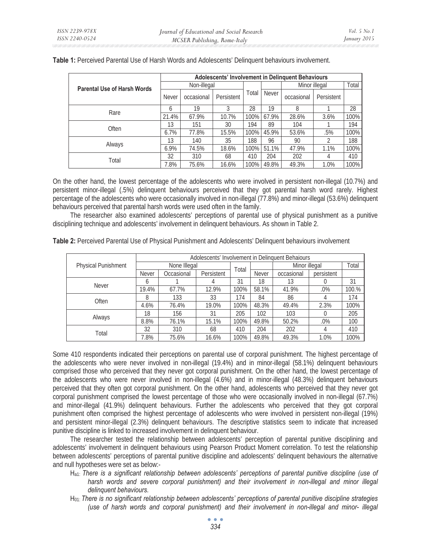|                                    | Adolescents' Involvement in Delinguent Behaviours |            |            |       |              |               |            |       |  |
|------------------------------------|---------------------------------------------------|------------|------------|-------|--------------|---------------|------------|-------|--|
| <b>Parental Use of Harsh Words</b> | Non-illegal                                       |            |            |       |              | Minor illegal |            | Total |  |
|                                    | Never                                             | occasional | Persistent | Total | <b>Never</b> | occasional    | Persistent |       |  |
| Rare                               | 6                                                 | 19         | 3          | 28    | 19           | 8             |            | 28    |  |
|                                    | 21.4%                                             | 67.9%      | 10.7%      | 100%  | 67.9%        | 28.6%         | 3.6%       | 100%  |  |
| <b>Often</b>                       | 13                                                | 151        | 30         | 194   | 89           | 104           |            | 194   |  |
|                                    | 6.7%                                              | 77.8%      | 15.5%      | 100%  | 45.9%        | 53.6%         | .5%        | 100%  |  |
| Always                             | 13                                                | 140        | 35         | 188   | 96           | 90            |            | 188   |  |
|                                    | 6.9%                                              | 74.5%      | 18.6%      | 100%  | 51.1%        | 47.9%         | 1.1%       | 100%  |  |
| Total                              | 32                                                | 310        | 68         | 410   | 204          | 202           | 4          | 410   |  |
|                                    | 7.8%                                              | 75.6%      | 16.6%      | 100%  | 49.8%        | 49.3%         | 1.0%       | 100%  |  |

**Table 1:** Perceived Parental Use of Harsh Words and Adolescents' Delinquent behaviours involvement.

On the other hand, the lowest percentage of the adolescents who were involved in persistent non-illegal (10.7%) and persistent minor-illegal (.5%) delinquent behaviours perceived that they got parental harsh word rarely. Highest percentage of the adolescents who were occasionally involved in non-illegal (77.8%) and minor-illegal (53.6%) delinquent behaviours perceived that parental harsh words were used often in the family.

The researcher also examined adolescents' perceptions of parental use of physical punishment as a punitive disciplining technique and adolescents' involvement in delinquent behaviours. As shown in Table 2.

|                            | Adolescents' Involvement in Delinguent Behaiours |            |            |       |              |               |            |       |
|----------------------------|--------------------------------------------------|------------|------------|-------|--------------|---------------|------------|-------|
| <b>Physical Punishment</b> | None Illegal                                     |            |            | Total |              | Minor illegal |            | Total |
|                            | <b>Never</b>                                     | Occasional | Persistent |       | <b>Never</b> | occasional    | persistent |       |
| <b>Never</b>               | b                                                |            |            | 31    | 18           | 13            |            | 31    |
|                            | 19.4%                                            | 67.7%      | 12.9%      | 100%  | 58.1%        | 41.9%         | $.0\%$     | 100.% |
| <b>Often</b>               | 8                                                | 133        | 33         | 174   | 84           | 86            | 4          | 174   |
|                            | 4.6%                                             | 76.4%      | 19.0%      | 100%  | 48.3%        | 49.4%         | 2.3%       | 100%  |
| Always                     | 18                                               | 156        | 31         | 205   | 102          | 103           | 0          | 205   |
|                            | 8.8%                                             | 76.1%      | 15.1%      | 100%  | 49.8%        | 50.2%         | $.0\%$     | 100   |
| Total                      | 32                                               | 310        | 68         | 410   | 204          | 202           | 4          | 410   |
|                            | 7.8%                                             | 75.6%      | 16.6%      | 100%  | 49.8%        | 49.3%         | 1.0%       | 100%  |

**Table 2:** Perceived Parental Use of Physical Punishment and Adolescents' Delinquent behaviours involvement

Some 410 respondents indicated their perceptions on parental use of corporal punishment. The highest percentage of the adolescents who were never involved in non-illegal (19.4%) and in minor-illegal (58.1%) delinquent behaviours comprised those who perceived that they never got corporal punishment. On the other hand, the lowest percentage of the adolescents who were never involved in non-illegal (4.6%) and in minor-illegal (48.3%) delinquent behaviours perceived that they often got corporal punishment. On the other hand, adolescents who perceived that they never got corporal punishment comprised the lowest percentage of those who were occasionally involved in non-illegal (67.7%) and minor-illegal (41.9%) delinquent behaviours. Further the adolescents who perceived that they got corporal punishment often comprised the highest percentage of adolescents who were involved in persistent non-illegal (19%) and persistent minor-illegal (2.3%) delinquent behaviours. The descriptive statistics seem to indicate that increased punitive discipline is linked to increased involvement in delinquent behaviour.

The researcher tested the relationship between adolescents' perception of parental punitive disciplining and adolescents' involvement in delinquent behaviours using Pearson Product Moment correlation. To test the relationship between adolescents' perceptions of parental punitive discipline and adolescents' delinquent behaviours the alternative and null hypotheses were set as below:-

- Ha1: *There is a significant relationship between adolescents' perceptions of parental punitive discipline (use of*  harsh words and severe corporal punishment) and their involvement in non-illegal and minor illegal *delinquent behaviours.*
- H01: *There is no significant relationship between adolescents' perceptions of parental punitive discipline strategies (use of harsh words and corporal punishment) and their involvement in non-illegal and minor- illegal*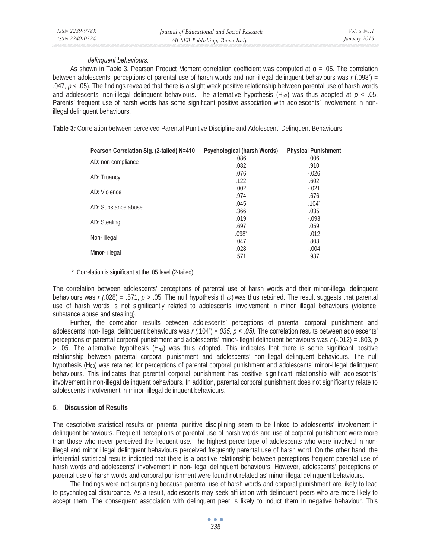#### *delinquent behaviours.*

As shown in Table 3, Pearson Product Moment correlation coefficient was computed at  $\alpha = .05$ . The correlation between adolescents' perceptions of parental use of harsh words and non-illegal delinquent behaviours was *r* (.098<sup>\*</sup>) = .047, *p* < .05). The findings revealed that there is a slight weak positive relationship between parental use of harsh words and adolescents' non-illegal delinquent behaviours. The alternative hypothesis (H<sub>a3</sub>) was thus adopted at  $p < .05$ . Parents' frequent use of harsh words has some significant positive association with adolescents' involvement in nonillegal delinquent behaviours.

**Table 3***:* Correlation between perceived Parental Punitive Discipline and Adolescent' Delinquent Behaviours

| Pearson Correlation Sig. (2-tailed) N=410 | <b>Psychological (harsh Words)</b> | <b>Physical Punishment</b> |
|-------------------------------------------|------------------------------------|----------------------------|
| AD: non compliance                        | .086                               | .006                       |
|                                           | .082                               | .910                       |
|                                           | .076                               | $-.026$                    |
| AD: Truancy                               | .122                               | .602                       |
|                                           | .002                               | $-.021$                    |
| AD: Violence                              | .974                               | .676                       |
|                                           | .045                               | .104 <sup>°</sup>          |
| AD: Substance abuse                       | .366                               | .035                       |
|                                           | .019                               | $-.093$                    |
| AD: Stealing                              | .697                               | .059                       |
|                                           | .098 <sup>°</sup>                  | $-.012$                    |
| Non-illegal                               | .047                               | .803                       |
|                                           | .028                               | $-.004$                    |
| Minor- illegal                            | .571                               | .937                       |

\*. Correlation is significant at the .05 level (2-tailed).

The correlation between adolescents' perceptions of parental use of harsh words and their minor-illegal delinquent behaviours was *r (*.028) = .571, *p* > .05. The null hypothesis (H03) was thus retained. The result suggests that parental use of harsh words is not significantly related to adolescents' involvement in minor illegal behaviours (violence, substance abuse and stealing).

Further, the correlation results between adolescents' perceptions of parental corporal punishment and adolescents' non-illegal delinquent behaviours was  $r(0.104^{\circ}) = 0.035$ ,  $p < 0.05$ ). The correlation results between adolescents' perceptions of parental corporal punishment and adolescents' minor-illegal delinquent behaviours was *r* (-.012) = .803, *p*  $> 0.05$ . The alternative hypothesis (H<sub>a3</sub>) was thus adopted. This indicates that there is some significant positive relationship between parental corporal punishment and adolescents' non-illegal delinquent behaviours. The null hypothesis (H<sub>03</sub>) was retained for perceptions of parental corporal punishment and adolescents' minor-illegal delinquent behaviours. This indicates that parental corporal punishment has positive significant relationship with adolescents' involvement in non-illegal delinquent behaviours. In addition, parental corporal punishment does not significantly relate to adolescents' involvement in minor- illegal delinquent behaviours.

## **5. Discussion of Results**

The descriptive statistical results on parental punitive disciplining seem to be linked to adolescents' involvement in delinquent behaviours. Frequent perceptions of parental use of harsh words and use of corporal punishment were more than those who never perceived the frequent use. The highest percentage of adolescents who were involved in nonillegal and minor illegal delinquent behaviours perceived frequently parental use of harsh word. On the other hand, the inferential statistical results indicated that there is a positive relationship between perceptions frequent parental use of harsh words and adolescents' involvement in non-illegal delinquent behaviours. However, adolescents' perceptions of parental use of harsh words and corporal punishment were found not related as' minor-illegal delinquent behaviours.

The findings were not surprising because parental use of harsh words and corporal punishment are likely to lead to psychological disturbance. As a result, adolescents may seek affiliation with delinquent peers who are more likely to accept them. The consequent association with delinquent peer is likely to induct them in negative behaviour. This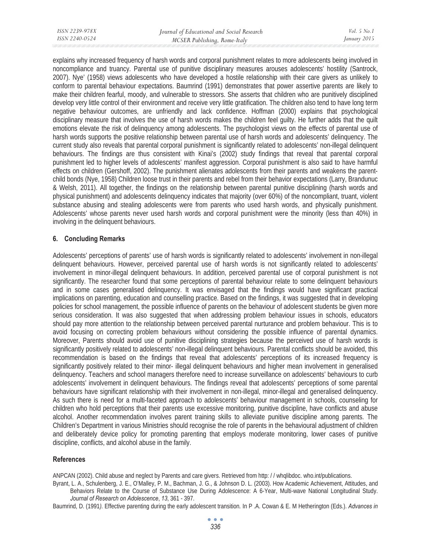| ISSN 2239-978X | Journal of Educational and Social Research | <i>Vol.</i> 5 No. 1 |
|----------------|--------------------------------------------|---------------------|
| ISSN 2240-0524 | MCSER Publishing, Rome-Italy               | January 2015        |
|                |                                            |                     |

explains why increased frequency of harsh words and corporal punishment relates to more adolescents being involved in noncompliance and truancy. Parental use of punitive disciplinary measures arouses adolescents' hostility (Santrock, 2007). Nye' (1958) views adolescents who have developed a hostile relationship with their care givers as unlikely to conform to parental behaviour expectations. Baumrind (1991) demonstrates that power assertive parents are likely to make their children fearful, moody, and vulnerable to stressors. She asserts that children who are punitively disciplined develop very little control of their environment and receive very little gratification. The children also tend to have long term negative behaviour outcomes, are unfriendly and lack confidence. Hoffman (2000) explains that psychological disciplinary measure that involves the use of harsh words makes the children feel guilty. He further adds that the quilt emotions elevate the risk of delinquency among adolescents. The psychologist views on the effects of parental use of harsh words supports the positive relationship between parental use of harsh words and adolescents' delinquency. The current study also reveals that parental corporal punishment is significantly related to adolescents' non-illegal delinquent behaviours. The findings are thus consistent with Kinai's (2002) study findings that reveal that parental corporal punishment led to higher levels of adolescents' manifest aggression. Corporal punishment is also said to have harmful effects on children (Gershoff, 2002). The punishment alienates adolescents from their parents and weakens the parentchild bonds (Nye, 1958) Children loose trust in their parents and rebel from their behavior expectations (Larry, Brandunuc & Welsh, 2011). All together, the findings on the relationship between parental punitive disciplining (harsh words and physical punishment) and adolescents delinquency indicates that majority (over 60%) of the noncompliant, truant, violent substance abusing and stealing adolescents were from parents who used harsh words, and physically punishment. Adolescents' whose parents never used harsh words and corporal punishment were the minority (less than 40%) in involving in the delinquent behaviours.

#### **6. Concluding Remarks**

Adolescents' perceptions of parents' use of harsh words is significantly related to adolescents' involvement in non-illegal delinquent behaviours. However, perceived parental use of harsh words is not significantly related to adolescents' involvement in minor-illegal delinquent behaviours. In addition, perceived parental use of corporal punishment is not significantly. The researcher found that some perceptions of parental behaviour relate to some delinquent behaviours and in some cases generalised delinquency. It was envisaged that the findings would have significant practical implications on parenting, education and counselling practice. Based on the findings, it was suggested that in developing policies for school management, the possible influence of parents on the behaviour of adolescent students be given more serious consideration. It was also suggested that when addressing problem behaviour issues in schools, educators should pay more attention to the relationship between perceived parental nurturance and problem behaviour. This is to avoid focusing on correcting problem behaviours without considering the possible influence of parental dynamics. Moreover, Parents should avoid use of punitive disciplining strategies because the perceived use of harsh words is significantly positively related to adolescents' non-illegal delinquent behaviours. Parental conflicts should be avoided, this recommendation is based on the findings that reveal that adolescents' perceptions of its increased frequency is significantly positively related to their minor- illegal delinquent behaviours and higher mean involvement in generalised delinquency. Teachers and school managers therefore need to increase surveillance on adolescents' behaviours to curb adolescents' involvement in delinquent behaviours. The findings reveal that adolescents' perceptions of some parental behaviours have significant relationship with their involvement in non-illegal, minor-illegal and generalised delinquency. As such there is need for a multi-faceted approach to adolescents' behaviour management in schools, counseling for children who hold perceptions that their parents use excessive monitoring, punitive discipline, have conflicts and abuse alcohol. Another recommendation involves parent training skills to alleviate punitive discipline among parents. The Children's Department in various Ministries should recognise the role of parents in the behavioural adjustment of children and deliberately device policy for promoting parenting that employs moderate monitoring, lower cases of punitive discipline, conflicts, and alcohol abuse in the family.

#### **References**

ANPCAN (2002). Child abuse and neglect by Parents and care givers. Retrieved from http: / / whqlibdoc. who.int/publications.

Byrant, L. A., Schulenberg, J. E., O'Malley, P. M., Bachman, J. G., & Johnson D. L. (2003). How Academic Achievement, Attitudes, and Behaviors Relate to the Course of Substance Use During Adolescence: A 6-Year, Multi-wave National Longitudinal Study. *Journal of Research on Adolescence*, *13*, 361 - 397.

Baumrind, D. (1991*).* Effective parenting during the early adolescent transition*.* In P .A. Cowan & E. M Hetherington (Eds.). *Advances in*